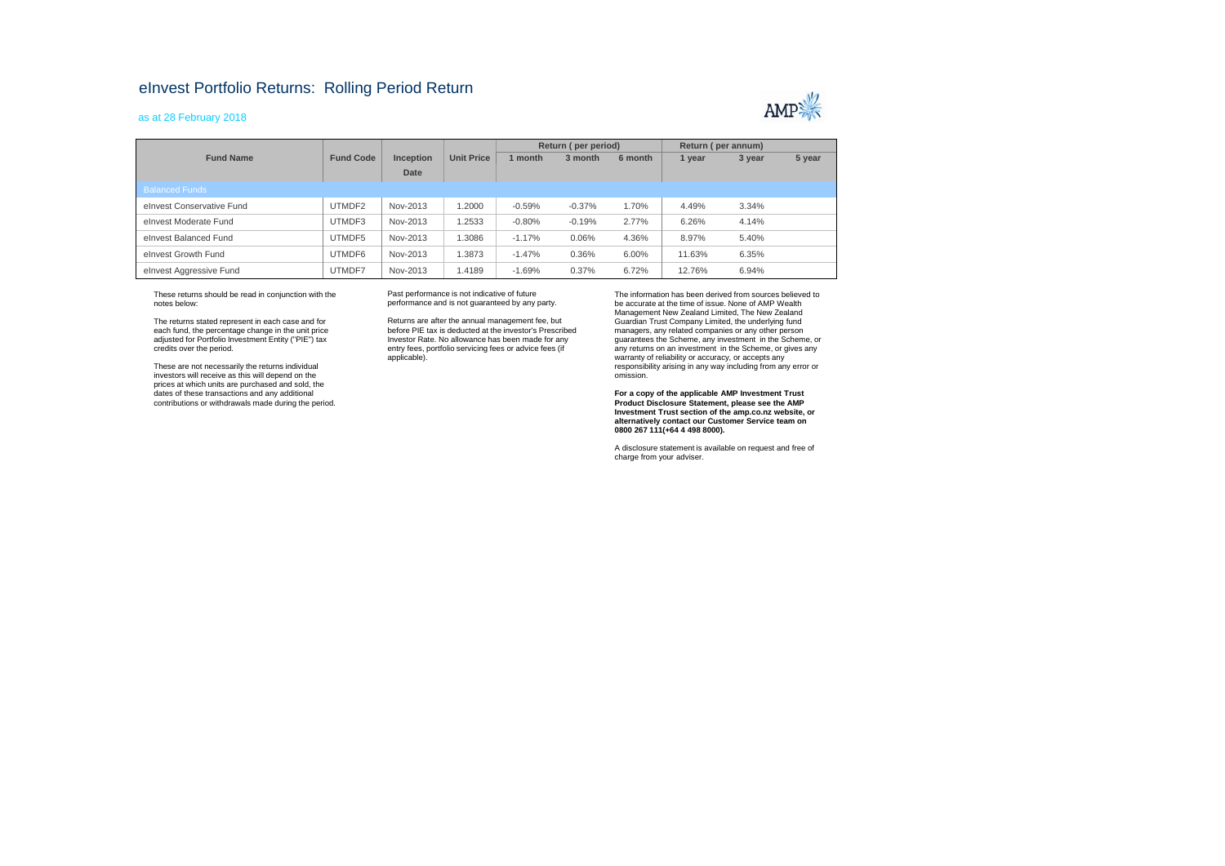## eInvest Portfolio Returns: Rolling Period Return

## as at 28 February 2018



|                           |                  |           |                   | Return (per period) |          |         | Return (per annum) |        |        |
|---------------------------|------------------|-----------|-------------------|---------------------|----------|---------|--------------------|--------|--------|
| <b>Fund Name</b>          | <b>Fund Code</b> | Inception | <b>Unit Price</b> | 1 month             | 3 month  | 6 month | 1 year             | 3 year | 5 year |
|                           |                  | Date      |                   |                     |          |         |                    |        |        |
| <b>Balanced Funds</b>     |                  |           |                   |                     |          |         |                    |        |        |
| elnyest Conservative Fund | UTMDF2           | Nov-2013  | 1.2000            | $-0.59%$            | $-0.37%$ | 1.70%   | 4.49%              | 3.34%  |        |
| elnyest Moderate Fund     | UTMDF3           | Nov-2013  | 1.2533            | $-0.80%$            | $-0.19%$ | 2.77%   | 6.26%              | 4.14%  |        |
| elnyest Balanced Fund     | UTMDF5           | Nov-2013  | 1.3086            | $-1.17%$            | 0.06%    | 4.36%   | 8.97%              | 5.40%  |        |
| elnvest Growth Fund       | UTMDF6           | Nov-2013  | 1.3873            | $-1.47%$            | 0.36%    | 6.00%   | 11.63%             | 6.35%  |        |
| elnvest Aggressive Fund   | UTMDF7           | Nov-2013  | 1.4189            | $-1.69%$            | 0.37%    | 6.72%   | 12.76%             | 6.94%  |        |

These returns should be read in conjunction with the notes below:

The returns stated represent in each case and for each fund, the percentage change in the unit price adjusted for Portfolio Investment Entity ("PIE") tax credits over the period.

These are not necessarily the returns individual investors will receive as this will depend on the prices at which units are purchased and sold, the dates of these transactions and any additional contributions or withdrawals made during the period.

Past performance is not indicative of future performance and is not guaranteed by any party.

Returns are after the annual management fee, but before PIE tax is deducted at the investor's Prescribed Investor Rate. No allowance has been made for any entry fees, portfolio servicing fees or advice fees (if applicable).

The information has been derived from sources believed to be accurate at the time of issue. None of AMP Wealth Management New Zealand Limited, The New Zealand Guardian Trust Company Limited, the underlying fund managers, any related companies or any other person guarantees the Scheme, any investment in the Scheme, or any returns on an investment in the Scheme, or gives any warranty of reliability or accuracy, or accepts any responsibility arising in any way including from any error or omission.

**For a copy of the applicable AMP Investment Trust Product Disclosure Statement, please see the AMP Investment Trust section of the amp.co.nz website, or alternatively contact our Customer Service team on 0800 267 111(+64 4 498 8000).**

A disclosure statement is available on request and free of charge from your adviser.